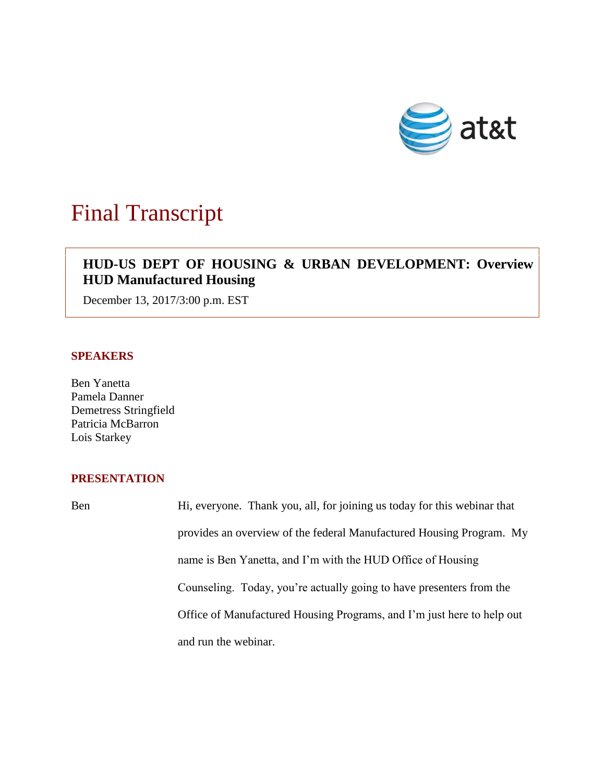

# Final Transcript

## **HUD-US DEPT OF HOUSING & URBAN DEVELOPMENT: Overview HUD Manufactured Housing**

December 13, 2017/3:00 p.m. EST

#### **SPEAKERS**

Ben Yanetta Pamela Danner Demetress Stringfield Patricia McBarron Lois Starkey

### **PRESENTATION**

Ben Hi, everyone. Thank you, all, for joining us today for this webinar that provides an overview of the federal Manufactured Housing Program. My name is Ben Yanetta, and I'm with the HUD Office of Housing Counseling. Today, you're actually going to have presenters from the Office of Manufactured Housing Programs, and I'm just here to help out and run the webinar.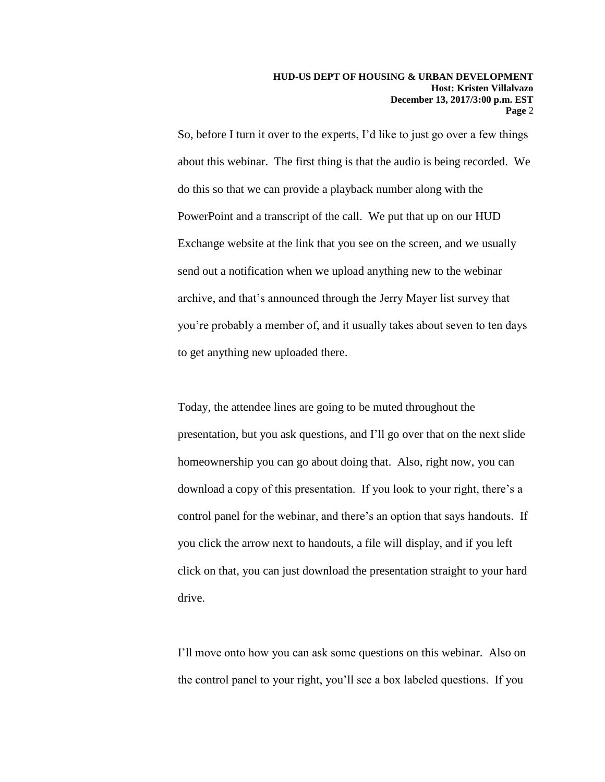So, before I turn it over to the experts, I'd like to just go over a few things about this webinar. The first thing is that the audio is being recorded. We do this so that we can provide a playback number along with the PowerPoint and a transcript of the call. We put that up on our HUD Exchange website at the link that you see on the screen, and we usually send out a notification when we upload anything new to the webinar archive, and that's announced through the Jerry Mayer list survey that you're probably a member of, and it usually takes about seven to ten days to get anything new uploaded there.

Today, the attendee lines are going to be muted throughout the presentation, but you ask questions, and I'll go over that on the next slide homeownership you can go about doing that. Also, right now, you can download a copy of this presentation. If you look to your right, there's a control panel for the webinar, and there's an option that says handouts. If you click the arrow next to handouts, a file will display, and if you left click on that, you can just download the presentation straight to your hard drive.

I'll move onto how you can ask some questions on this webinar. Also on the control panel to your right, you'll see a box labeled questions. If you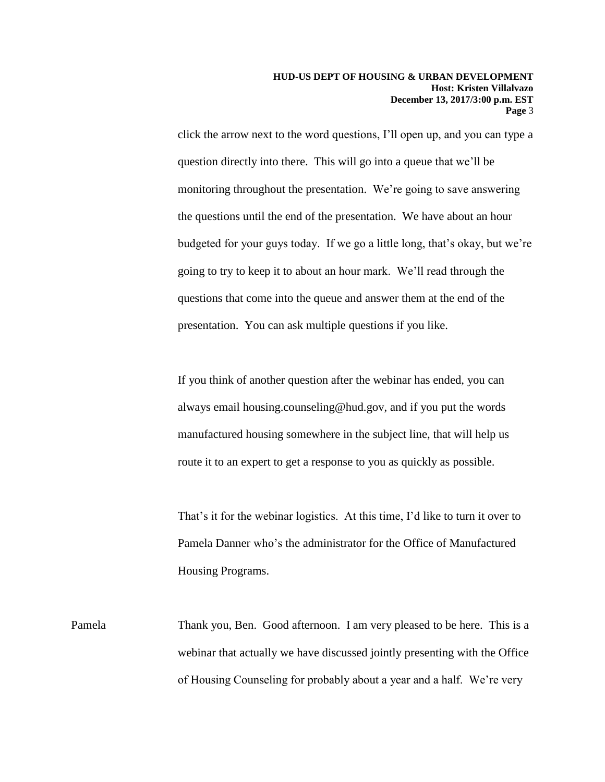click the arrow next to the word questions, I'll open up, and you can type a question directly into there. This will go into a queue that we'll be monitoring throughout the presentation. We're going to save answering the questions until the end of the presentation. We have about an hour budgeted for your guys today. If we go a little long, that's okay, but we're going to try to keep it to about an hour mark. We'll read through the questions that come into the queue and answer them at the end of the presentation. You can ask multiple questions if you like.

If you think of another question after the webinar has ended, you can always email housing.counseling@hud.gov, and if you put the words manufactured housing somewhere in the subject line, that will help us route it to an expert to get a response to you as quickly as possible.

That's it for the webinar logistics. At this time, I'd like to turn it over to Pamela Danner who's the administrator for the Office of Manufactured Housing Programs.

Pamela Thank you, Ben. Good afternoon. I am very pleased to be here. This is a webinar that actually we have discussed jointly presenting with the Office of Housing Counseling for probably about a year and a half. We're very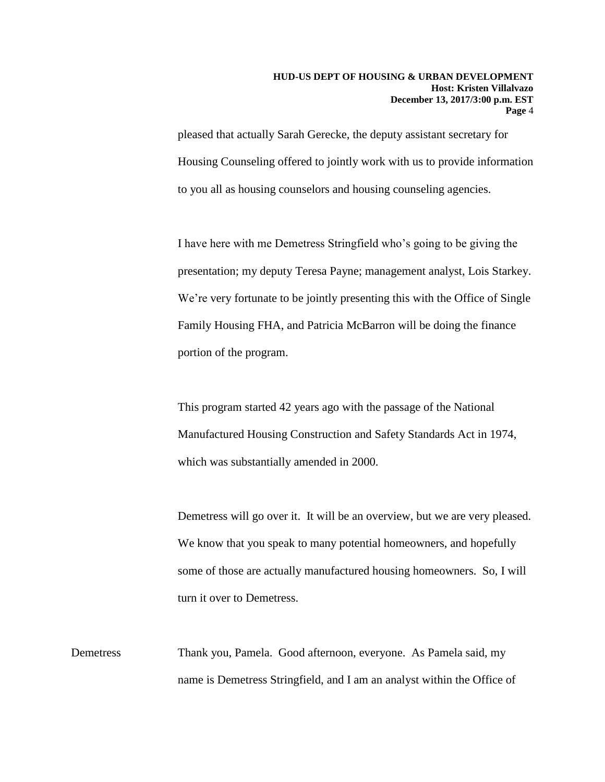pleased that actually Sarah Gerecke, the deputy assistant secretary for Housing Counseling offered to jointly work with us to provide information to you all as housing counselors and housing counseling agencies.

I have here with me Demetress Stringfield who's going to be giving the presentation; my deputy Teresa Payne; management analyst, Lois Starkey. We're very fortunate to be jointly presenting this with the Office of Single Family Housing FHA, and Patricia McBarron will be doing the finance portion of the program.

This program started 42 years ago with the passage of the National Manufactured Housing Construction and Safety Standards Act in 1974, which was substantially amended in 2000.

Demetress will go over it. It will be an overview, but we are very pleased. We know that you speak to many potential homeowners, and hopefully some of those are actually manufactured housing homeowners. So, I will turn it over to Demetress.

Demetress Thank you, Pamela. Good afternoon, everyone. As Pamela said, my name is Demetress Stringfield, and I am an analyst within the Office of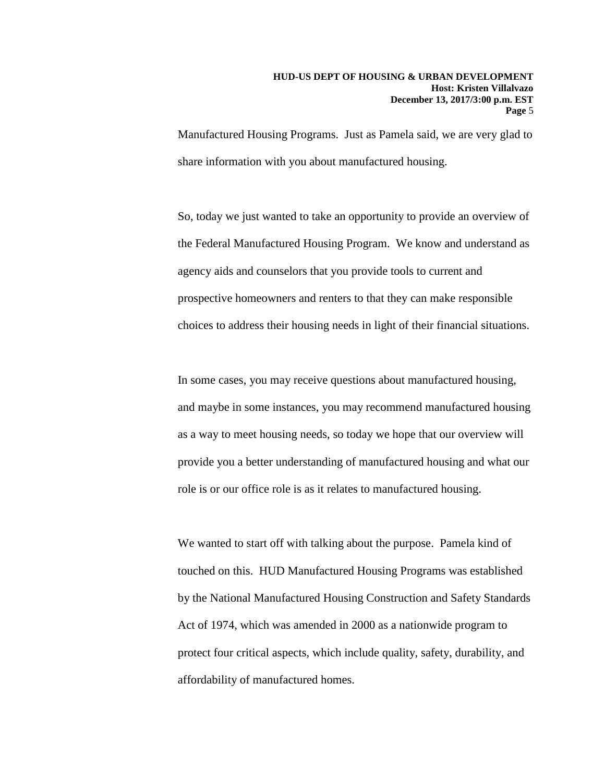Manufactured Housing Programs. Just as Pamela said, we are very glad to share information with you about manufactured housing.

So, today we just wanted to take an opportunity to provide an overview of the Federal Manufactured Housing Program. We know and understand as agency aids and counselors that you provide tools to current and prospective homeowners and renters to that they can make responsible choices to address their housing needs in light of their financial situations.

In some cases, you may receive questions about manufactured housing, and maybe in some instances, you may recommend manufactured housing as a way to meet housing needs, so today we hope that our overview will provide you a better understanding of manufactured housing and what our role is or our office role is as it relates to manufactured housing.

We wanted to start off with talking about the purpose. Pamela kind of touched on this. HUD Manufactured Housing Programs was established by the National Manufactured Housing Construction and Safety Standards Act of 1974, which was amended in 2000 as a nationwide program to protect four critical aspects, which include quality, safety, durability, and affordability of manufactured homes.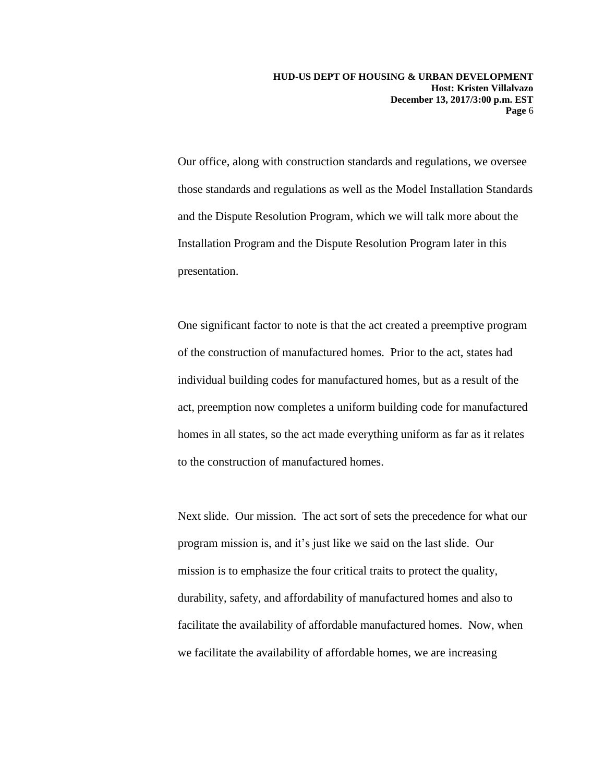Our office, along with construction standards and regulations, we oversee those standards and regulations as well as the Model Installation Standards and the Dispute Resolution Program, which we will talk more about the Installation Program and the Dispute Resolution Program later in this presentation.

One significant factor to note is that the act created a preemptive program of the construction of manufactured homes. Prior to the act, states had individual building codes for manufactured homes, but as a result of the act, preemption now completes a uniform building code for manufactured homes in all states, so the act made everything uniform as far as it relates to the construction of manufactured homes.

Next slide. Our mission. The act sort of sets the precedence for what our program mission is, and it's just like we said on the last slide. Our mission is to emphasize the four critical traits to protect the quality, durability, safety, and affordability of manufactured homes and also to facilitate the availability of affordable manufactured homes. Now, when we facilitate the availability of affordable homes, we are increasing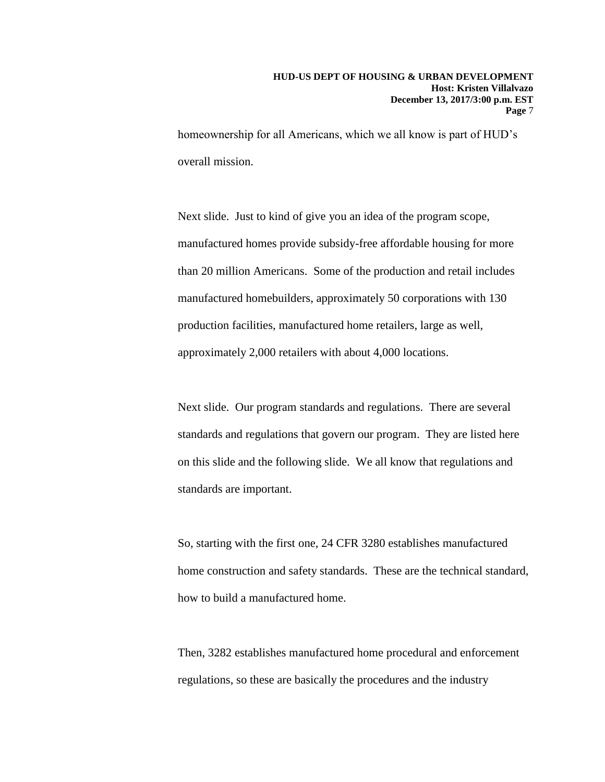homeownership for all Americans, which we all know is part of HUD's overall mission.

Next slide. Just to kind of give you an idea of the program scope, manufactured homes provide subsidy-free affordable housing for more than 20 million Americans. Some of the production and retail includes manufactured homebuilders, approximately 50 corporations with 130 production facilities, manufactured home retailers, large as well, approximately 2,000 retailers with about 4,000 locations.

Next slide. Our program standards and regulations. There are several standards and regulations that govern our program. They are listed here on this slide and the following slide. We all know that regulations and standards are important.

So, starting with the first one, 24 CFR 3280 establishes manufactured home construction and safety standards. These are the technical standard, how to build a manufactured home.

Then, 3282 establishes manufactured home procedural and enforcement regulations, so these are basically the procedures and the industry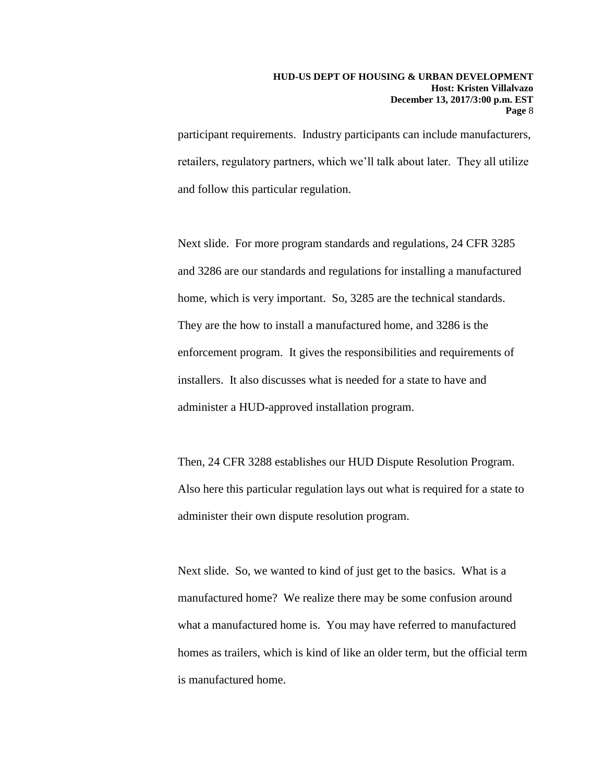participant requirements. Industry participants can include manufacturers, retailers, regulatory partners, which we'll talk about later. They all utilize and follow this particular regulation.

Next slide. For more program standards and regulations, 24 CFR 3285 and 3286 are our standards and regulations for installing a manufactured home, which is very important. So, 3285 are the technical standards. They are the how to install a manufactured home, and 3286 is the enforcement program. It gives the responsibilities and requirements of installers. It also discusses what is needed for a state to have and administer a HUD-approved installation program.

Then, 24 CFR 3288 establishes our HUD Dispute Resolution Program. Also here this particular regulation lays out what is required for a state to administer their own dispute resolution program.

Next slide. So, we wanted to kind of just get to the basics. What is a manufactured home? We realize there may be some confusion around what a manufactured home is. You may have referred to manufactured homes as trailers, which is kind of like an older term, but the official term is manufactured home.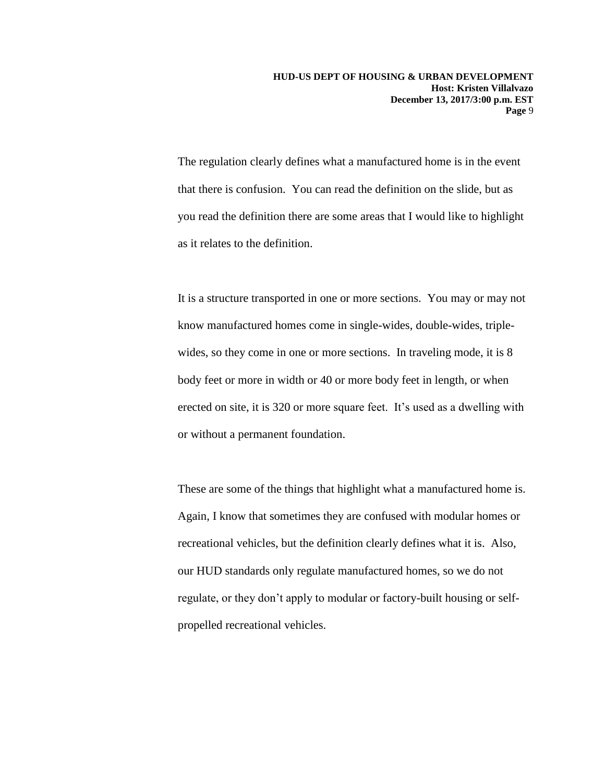The regulation clearly defines what a manufactured home is in the event that there is confusion. You can read the definition on the slide, but as you read the definition there are some areas that I would like to highlight as it relates to the definition.

It is a structure transported in one or more sections. You may or may not know manufactured homes come in single-wides, double-wides, triplewides, so they come in one or more sections. In traveling mode, it is 8 body feet or more in width or 40 or more body feet in length, or when erected on site, it is 320 or more square feet. It's used as a dwelling with or without a permanent foundation.

These are some of the things that highlight what a manufactured home is. Again, I know that sometimes they are confused with modular homes or recreational vehicles, but the definition clearly defines what it is. Also, our HUD standards only regulate manufactured homes, so we do not regulate, or they don't apply to modular or factory-built housing or selfpropelled recreational vehicles.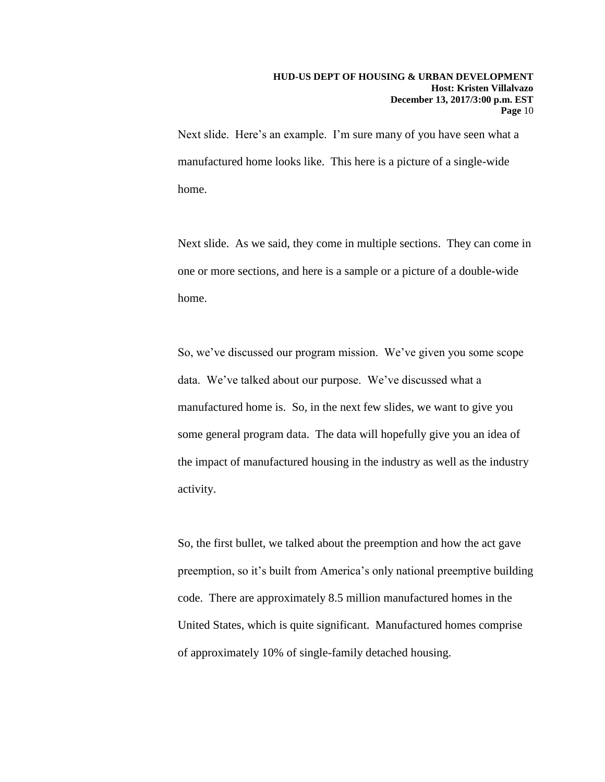Next slide. Here's an example. I'm sure many of you have seen what a manufactured home looks like. This here is a picture of a single-wide home.

Next slide. As we said, they come in multiple sections. They can come in one or more sections, and here is a sample or a picture of a double-wide home.

So, we've discussed our program mission. We've given you some scope data. We've talked about our purpose. We've discussed what a manufactured home is. So, in the next few slides, we want to give you some general program data. The data will hopefully give you an idea of the impact of manufactured housing in the industry as well as the industry activity.

So, the first bullet, we talked about the preemption and how the act gave preemption, so it's built from America's only national preemptive building code. There are approximately 8.5 million manufactured homes in the United States, which is quite significant. Manufactured homes comprise of approximately 10% of single-family detached housing.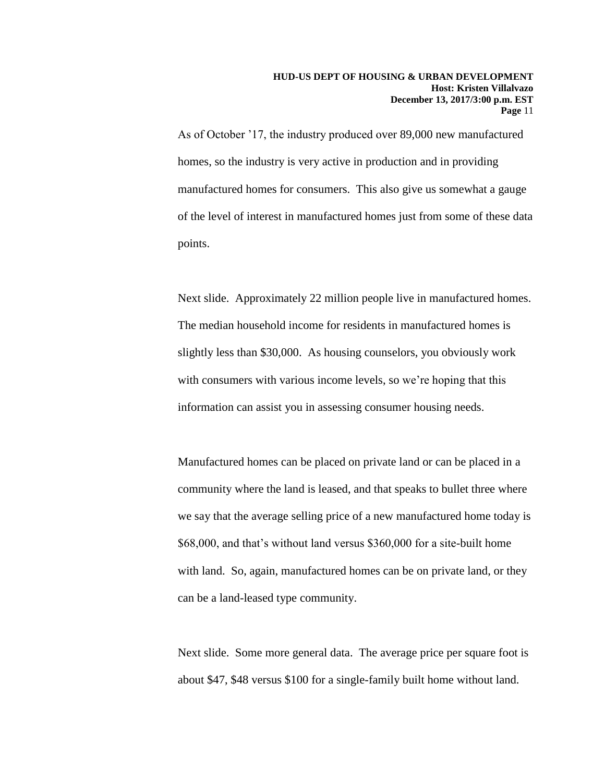As of October '17, the industry produced over 89,000 new manufactured homes, so the industry is very active in production and in providing manufactured homes for consumers. This also give us somewhat a gauge of the level of interest in manufactured homes just from some of these data points.

Next slide. Approximately 22 million people live in manufactured homes. The median household income for residents in manufactured homes is slightly less than \$30,000. As housing counselors, you obviously work with consumers with various income levels, so we're hoping that this information can assist you in assessing consumer housing needs.

Manufactured homes can be placed on private land or can be placed in a community where the land is leased, and that speaks to bullet three where we say that the average selling price of a new manufactured home today is \$68,000, and that's without land versus \$360,000 for a site-built home with land. So, again, manufactured homes can be on private land, or they can be a land-leased type community.

Next slide. Some more general data. The average price per square foot is about \$47, \$48 versus \$100 for a single-family built home without land.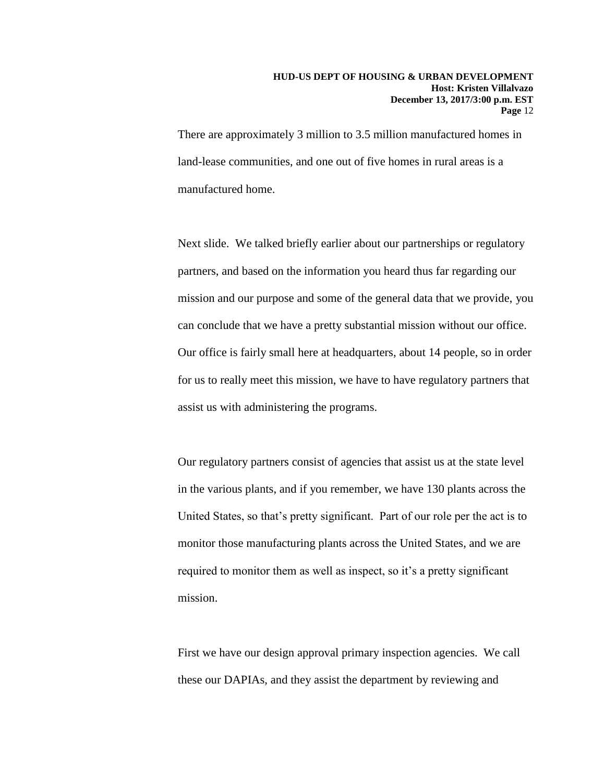There are approximately 3 million to 3.5 million manufactured homes in land-lease communities, and one out of five homes in rural areas is a manufactured home.

Next slide. We talked briefly earlier about our partnerships or regulatory partners, and based on the information you heard thus far regarding our mission and our purpose and some of the general data that we provide, you can conclude that we have a pretty substantial mission without our office. Our office is fairly small here at headquarters, about 14 people, so in order for us to really meet this mission, we have to have regulatory partners that assist us with administering the programs.

Our regulatory partners consist of agencies that assist us at the state level in the various plants, and if you remember, we have 130 plants across the United States, so that's pretty significant. Part of our role per the act is to monitor those manufacturing plants across the United States, and we are required to monitor them as well as inspect, so it's a pretty significant mission.

First we have our design approval primary inspection agencies. We call these our DAPIAs, and they assist the department by reviewing and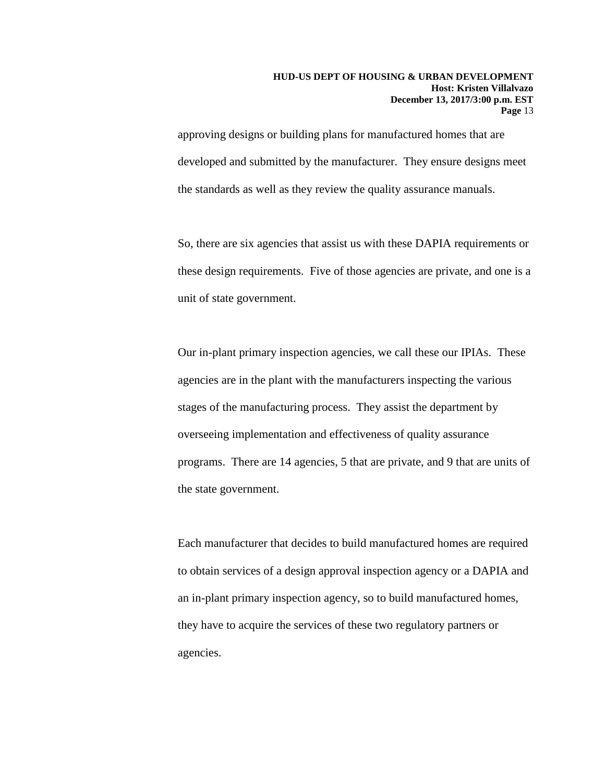approving designs or building plans for manufactured homes that are developed and submitted by the manufacturer. They ensure designs meet the standards as well as they review the quality assurance manuals.

So, there are six agencies that assist us with these DAPIA requirements or these design requirements. Five of those agencies are private, and one is a unit of state government.

Our in-plant primary inspection agencies, we call these our IPIAs. These agencies are in the plant with the manufacturers inspecting the various stages of the manufacturing process. They assist the department by overseeing implementation and effectiveness of quality assurance programs. There are 14 agencies, 5 that are private, and 9 that are units of the state government.

Each manufacturer that decides to build manufactured homes are required to obtain services of a design approval inspection agency or a DAPIA and an in-plant primary inspection agency, so to build manufactured homes, they have to acquire the services of these two regulatory partners or agencies.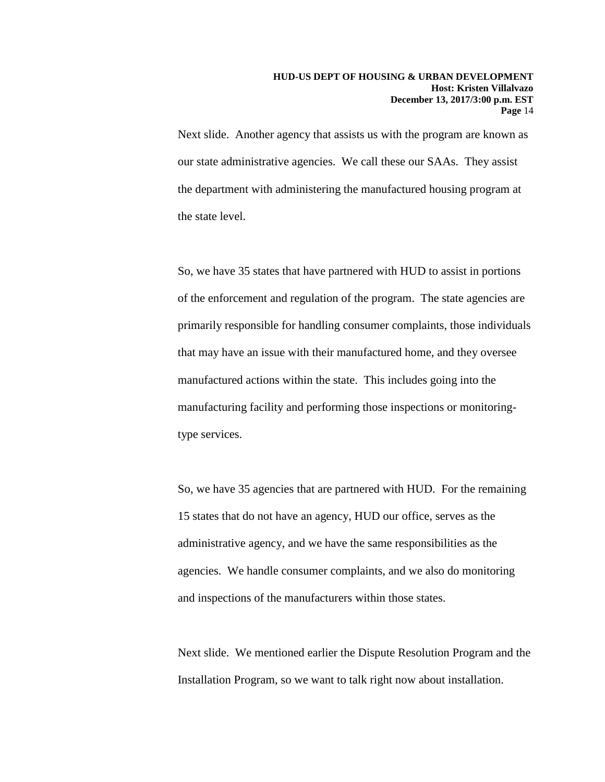Next slide. Another agency that assists us with the program are known as our state administrative agencies. We call these our SAAs. They assist the department with administering the manufactured housing program at the state level.

So, we have 35 states that have partnered with HUD to assist in portions of the enforcement and regulation of the program. The state agencies are primarily responsible for handling consumer complaints, those individuals that may have an issue with their manufactured home, and they oversee manufactured actions within the state. This includes going into the manufacturing facility and performing those inspections or monitoringtype services.

So, we have 35 agencies that are partnered with HUD. For the remaining 15 states that do not have an agency, HUD our office, serves as the administrative agency, and we have the same responsibilities as the agencies. We handle consumer complaints, and we also do monitoring and inspections of the manufacturers within those states.

Next slide. We mentioned earlier the Dispute Resolution Program and the Installation Program, so we want to talk right now about installation.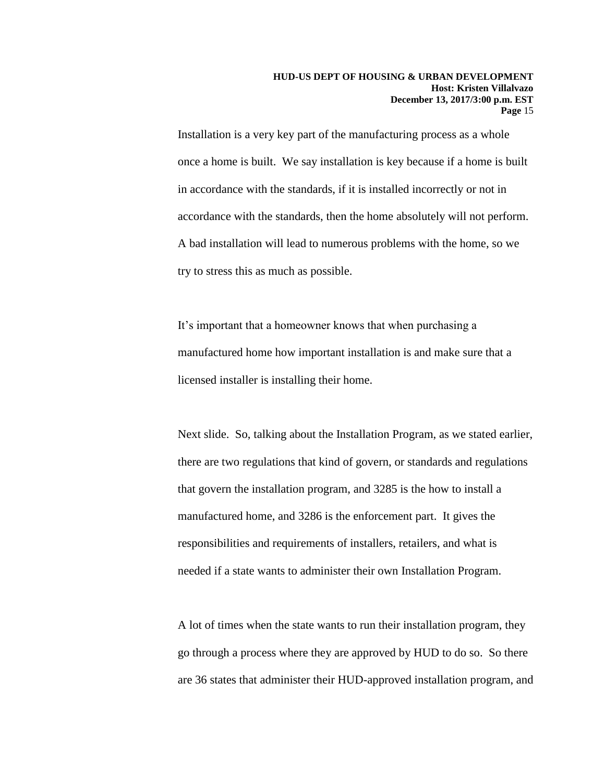Installation is a very key part of the manufacturing process as a whole once a home is built. We say installation is key because if a home is built in accordance with the standards, if it is installed incorrectly or not in accordance with the standards, then the home absolutely will not perform. A bad installation will lead to numerous problems with the home, so we try to stress this as much as possible.

It's important that a homeowner knows that when purchasing a manufactured home how important installation is and make sure that a licensed installer is installing their home.

Next slide. So, talking about the Installation Program, as we stated earlier, there are two regulations that kind of govern, or standards and regulations that govern the installation program, and 3285 is the how to install a manufactured home, and 3286 is the enforcement part. It gives the responsibilities and requirements of installers, retailers, and what is needed if a state wants to administer their own Installation Program.

A lot of times when the state wants to run their installation program, they go through a process where they are approved by HUD to do so. So there are 36 states that administer their HUD-approved installation program, and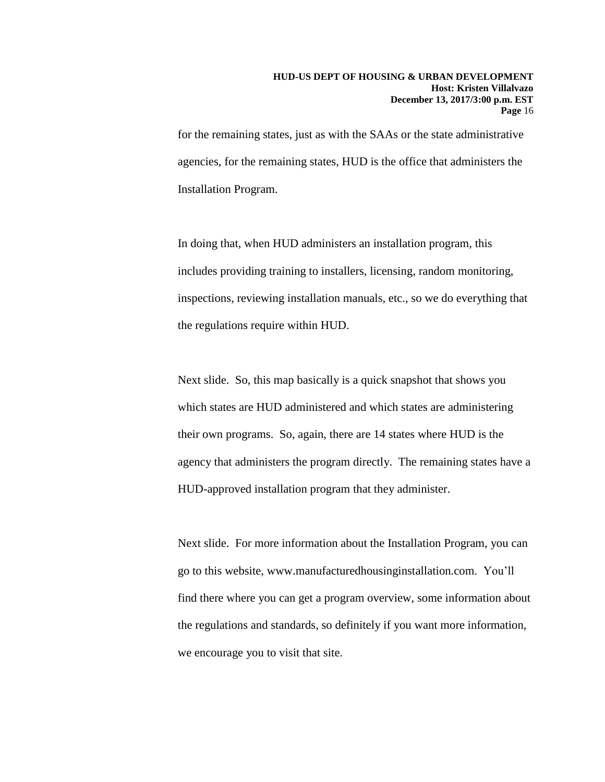for the remaining states, just as with the SAAs or the state administrative agencies, for the remaining states, HUD is the office that administers the Installation Program.

In doing that, when HUD administers an installation program, this includes providing training to installers, licensing, random monitoring, inspections, reviewing installation manuals, etc., so we do everything that the regulations require within HUD.

Next slide. So, this map basically is a quick snapshot that shows you which states are HUD administered and which states are administering their own programs. So, again, there are 14 states where HUD is the agency that administers the program directly. The remaining states have a HUD-approved installation program that they administer.

Next slide. For more information about the Installation Program, you can go to this website, www.manufacturedhousinginstallation.com. You'll find there where you can get a program overview, some information about the regulations and standards, so definitely if you want more information, we encourage you to visit that site.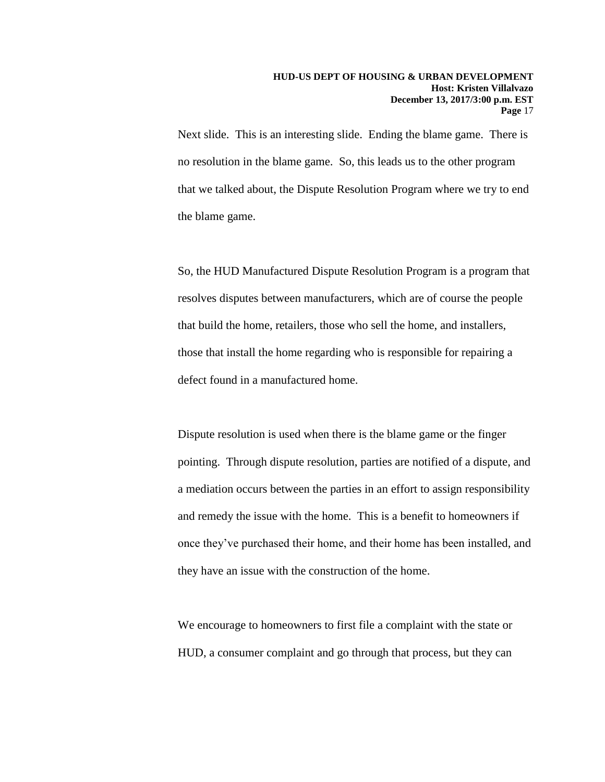Next slide. This is an interesting slide. Ending the blame game. There is no resolution in the blame game. So, this leads us to the other program that we talked about, the Dispute Resolution Program where we try to end the blame game.

So, the HUD Manufactured Dispute Resolution Program is a program that resolves disputes between manufacturers, which are of course the people that build the home, retailers, those who sell the home, and installers, those that install the home regarding who is responsible for repairing a defect found in a manufactured home.

Dispute resolution is used when there is the blame game or the finger pointing. Through dispute resolution, parties are notified of a dispute, and a mediation occurs between the parties in an effort to assign responsibility and remedy the issue with the home. This is a benefit to homeowners if once they've purchased their home, and their home has been installed, and they have an issue with the construction of the home.

We encourage to homeowners to first file a complaint with the state or HUD, a consumer complaint and go through that process, but they can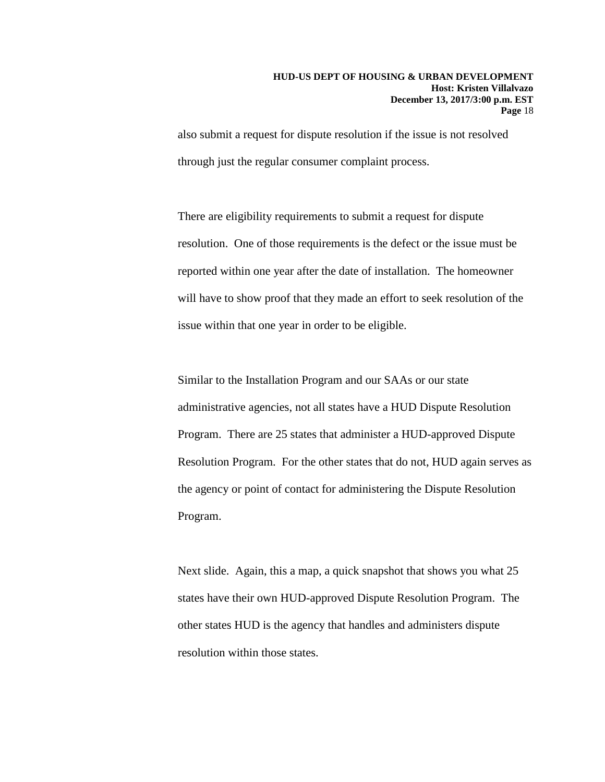also submit a request for dispute resolution if the issue is not resolved through just the regular consumer complaint process.

There are eligibility requirements to submit a request for dispute resolution. One of those requirements is the defect or the issue must be reported within one year after the date of installation. The homeowner will have to show proof that they made an effort to seek resolution of the issue within that one year in order to be eligible.

Similar to the Installation Program and our SAAs or our state administrative agencies, not all states have a HUD Dispute Resolution Program. There are 25 states that administer a HUD-approved Dispute Resolution Program. For the other states that do not, HUD again serves as the agency or point of contact for administering the Dispute Resolution Program.

Next slide. Again, this a map, a quick snapshot that shows you what 25 states have their own HUD-approved Dispute Resolution Program. The other states HUD is the agency that handles and administers dispute resolution within those states.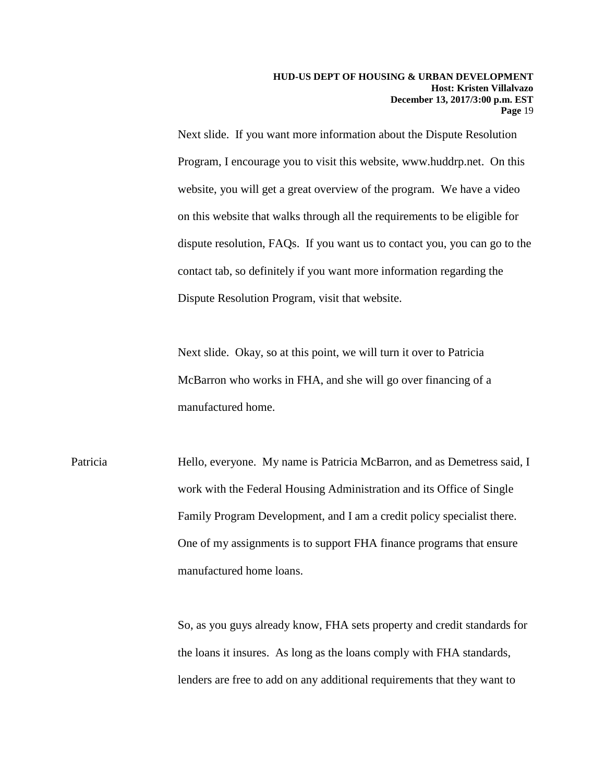Next slide. If you want more information about the Dispute Resolution Program, I encourage you to visit this website, www.huddrp.net. On this website, you will get a great overview of the program. We have a video on this website that walks through all the requirements to be eligible for dispute resolution, FAQs. If you want us to contact you, you can go to the contact tab, so definitely if you want more information regarding the Dispute Resolution Program, visit that website.

Next slide. Okay, so at this point, we will turn it over to Patricia McBarron who works in FHA, and she will go over financing of a manufactured home.

Patricia Hello, everyone. My name is Patricia McBarron, and as Demetress said, I work with the Federal Housing Administration and its Office of Single Family Program Development, and I am a credit policy specialist there. One of my assignments is to support FHA finance programs that ensure manufactured home loans.

> So, as you guys already know, FHA sets property and credit standards for the loans it insures. As long as the loans comply with FHA standards, lenders are free to add on any additional requirements that they want to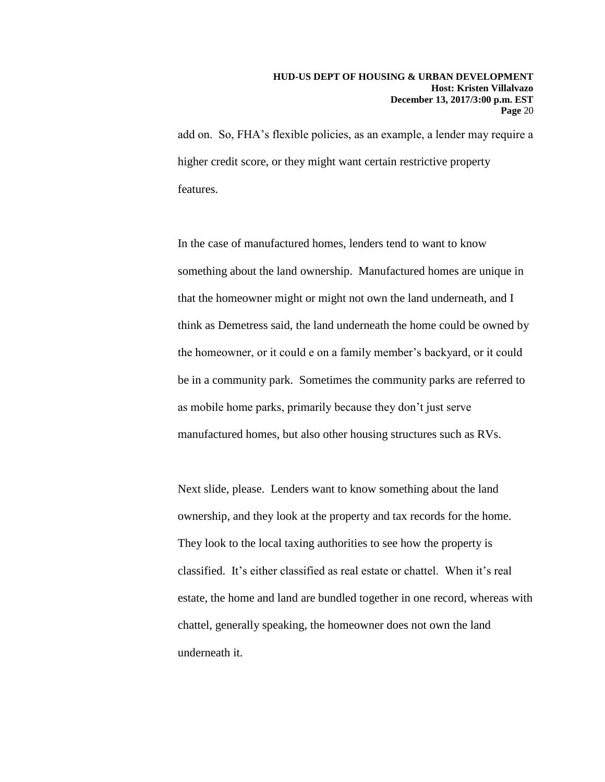add on. So, FHA's flexible policies, as an example, a lender may require a higher credit score, or they might want certain restrictive property features.

In the case of manufactured homes, lenders tend to want to know something about the land ownership. Manufactured homes are unique in that the homeowner might or might not own the land underneath, and I think as Demetress said, the land underneath the home could be owned by the homeowner, or it could e on a family member's backyard, or it could be in a community park. Sometimes the community parks are referred to as mobile home parks, primarily because they don't just serve manufactured homes, but also other housing structures such as RVs.

Next slide, please. Lenders want to know something about the land ownership, and they look at the property and tax records for the home. They look to the local taxing authorities to see how the property is classified. It's either classified as real estate or chattel. When it's real estate, the home and land are bundled together in one record, whereas with chattel, generally speaking, the homeowner does not own the land underneath it.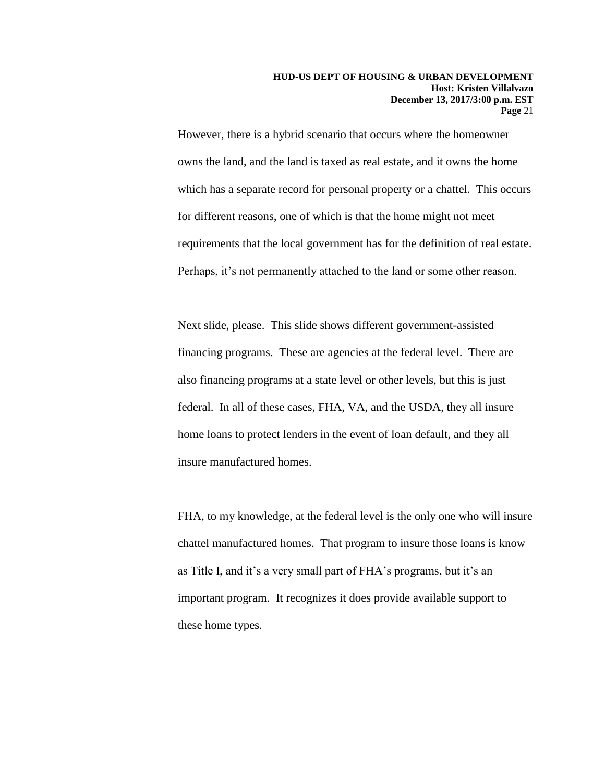However, there is a hybrid scenario that occurs where the homeowner owns the land, and the land is taxed as real estate, and it owns the home which has a separate record for personal property or a chattel. This occurs for different reasons, one of which is that the home might not meet requirements that the local government has for the definition of real estate. Perhaps, it's not permanently attached to the land or some other reason.

Next slide, please. This slide shows different government-assisted financing programs. These are agencies at the federal level. There are also financing programs at a state level or other levels, but this is just federal. In all of these cases, FHA, VA, and the USDA, they all insure home loans to protect lenders in the event of loan default, and they all insure manufactured homes.

FHA, to my knowledge, at the federal level is the only one who will insure chattel manufactured homes. That program to insure those loans is know as Title I, and it's a very small part of FHA's programs, but it's an important program. It recognizes it does provide available support to these home types.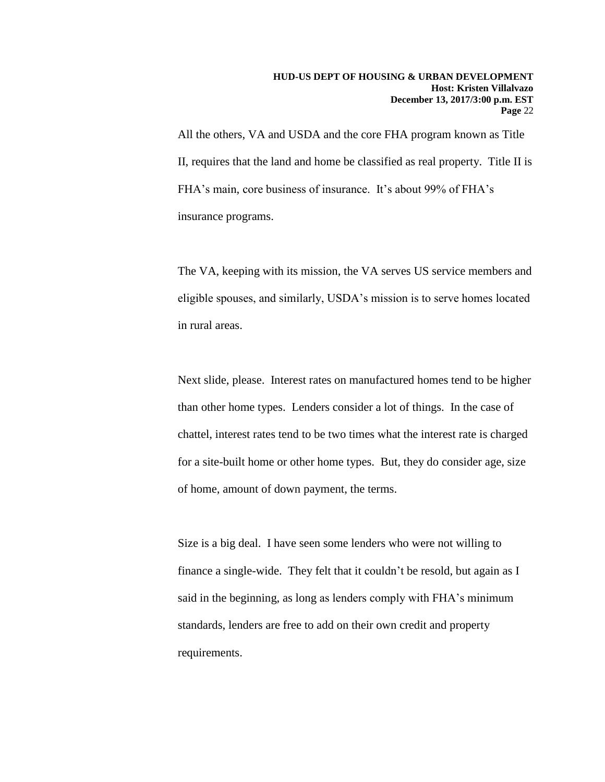All the others, VA and USDA and the core FHA program known as Title II, requires that the land and home be classified as real property. Title II is FHA's main, core business of insurance. It's about 99% of FHA's insurance programs.

The VA, keeping with its mission, the VA serves US service members and eligible spouses, and similarly, USDA's mission is to serve homes located in rural areas.

Next slide, please. Interest rates on manufactured homes tend to be higher than other home types. Lenders consider a lot of things. In the case of chattel, interest rates tend to be two times what the interest rate is charged for a site-built home or other home types. But, they do consider age, size of home, amount of down payment, the terms.

Size is a big deal. I have seen some lenders who were not willing to finance a single-wide. They felt that it couldn't be resold, but again as I said in the beginning, as long as lenders comply with FHA's minimum standards, lenders are free to add on their own credit and property requirements.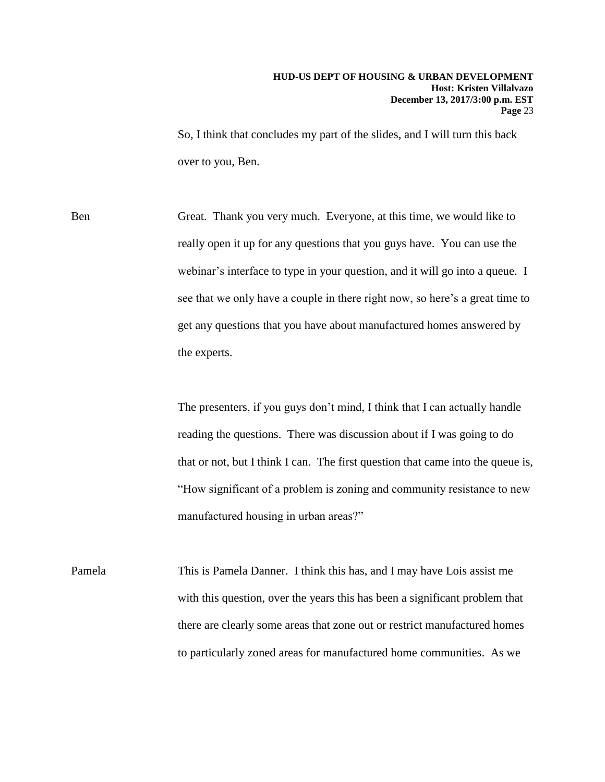So, I think that concludes my part of the slides, and I will turn this back over to you, Ben.

Ben Great. Thank you very much. Everyone, at this time, we would like to really open it up for any questions that you guys have. You can use the webinar's interface to type in your question, and it will go into a queue. I see that we only have a couple in there right now, so here's a great time to get any questions that you have about manufactured homes answered by the experts.

> The presenters, if you guys don't mind, I think that I can actually handle reading the questions. There was discussion about if I was going to do that or not, but I think I can. The first question that came into the queue is, "How significant of a problem is zoning and community resistance to new manufactured housing in urban areas?"

Pamela This is Pamela Danner. I think this has, and I may have Lois assist me with this question, over the years this has been a significant problem that there are clearly some areas that zone out or restrict manufactured homes to particularly zoned areas for manufactured home communities. As we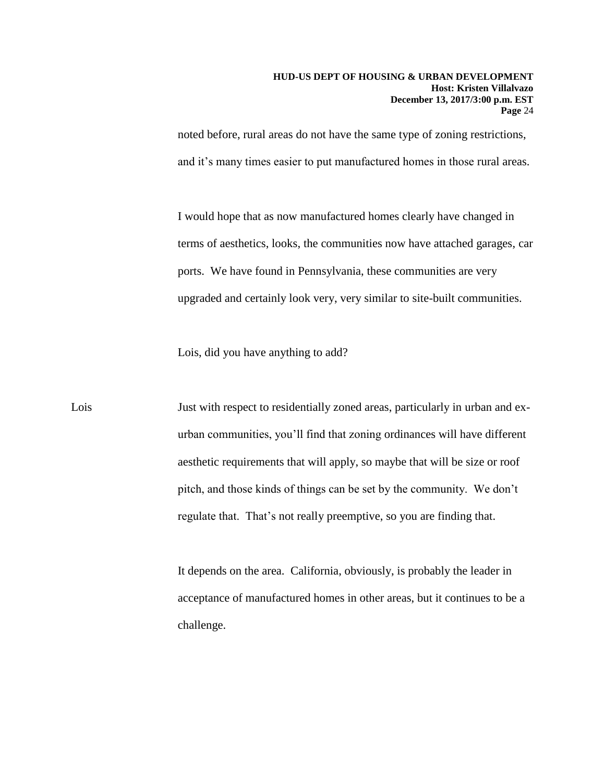noted before, rural areas do not have the same type of zoning restrictions, and it's many times easier to put manufactured homes in those rural areas.

I would hope that as now manufactured homes clearly have changed in terms of aesthetics, looks, the communities now have attached garages, car ports. We have found in Pennsylvania, these communities are very upgraded and certainly look very, very similar to site-built communities.

Lois, did you have anything to add?

Lois Just with respect to residentially zoned areas, particularly in urban and exurban communities, you'll find that zoning ordinances will have different aesthetic requirements that will apply, so maybe that will be size or roof pitch, and those kinds of things can be set by the community. We don't regulate that. That's not really preemptive, so you are finding that.

> It depends on the area. California, obviously, is probably the leader in acceptance of manufactured homes in other areas, but it continues to be a challenge.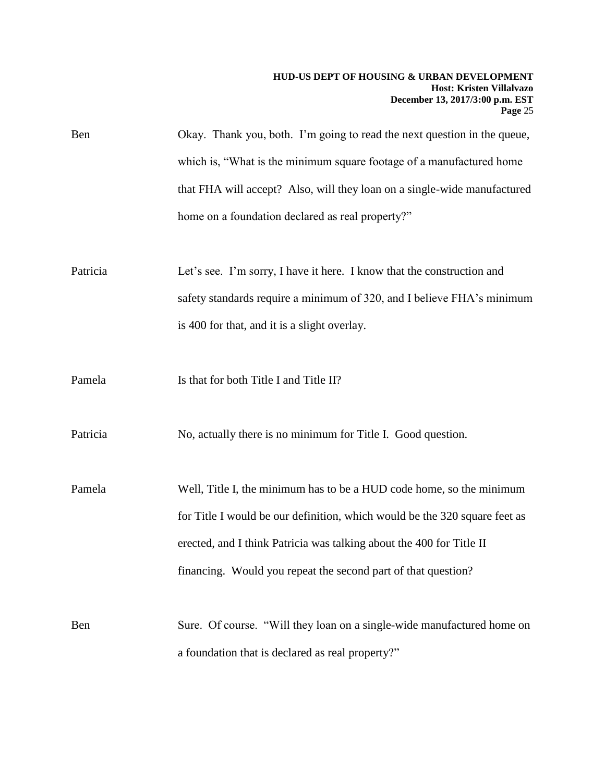| Ben | Okay. Thank you, both. I'm going to read the next question in the queue, |
|-----|--------------------------------------------------------------------------|
|     | which is, "What is the minimum square footage of a manufactured home     |
|     | that FHA will accept? Also, will they loan on a single-wide manufactured |
|     | home on a foundation declared as real property?"                         |

Patricia Let's see. I'm sorry, I have it here. I know that the construction and safety standards require a minimum of 320, and I believe FHA's minimum is 400 for that, and it is a slight overlay.

Pamela Is that for both Title I and Title II?

Patricia No, actually there is no minimum for Title I. Good question.

Pamela Well, Title I, the minimum has to be a HUD code home, so the minimum for Title I would be our definition, which would be the 320 square feet as erected, and I think Patricia was talking about the 400 for Title II financing. Would you repeat the second part of that question?

Ben Sure. Of course. "Will they loan on a single-wide manufactured home on a foundation that is declared as real property?"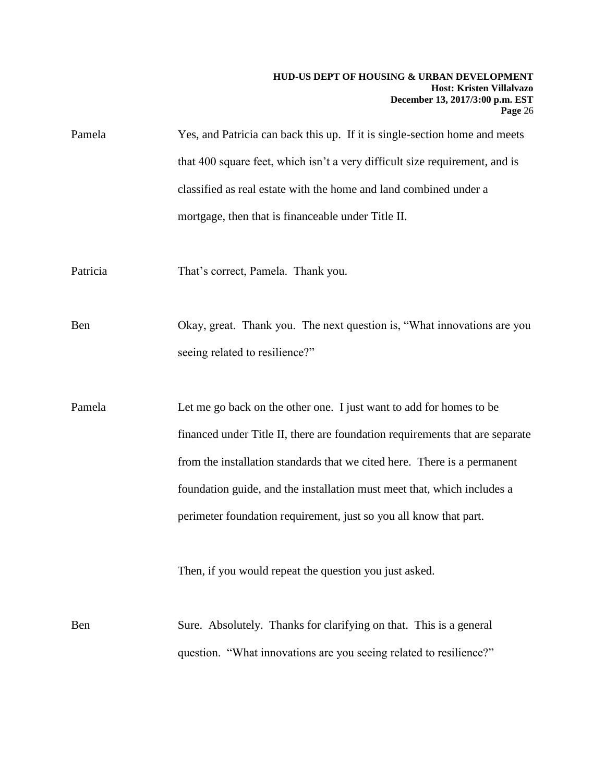- Pamela Yes, and Patricia can back this up. If it is single-section home and meets that 400 square feet, which isn't a very difficult size requirement, and is classified as real estate with the home and land combined under a mortgage, then that is financeable under Title II.
- Patricia That's correct, Pamela. Thank you.

Ben Okay, great. Thank you. The next question is, "What innovations are you seeing related to resilience?"

Pamela Let me go back on the other one. I just want to add for homes to be financed under Title II, there are foundation requirements that are separate from the installation standards that we cited here. There is a permanent foundation guide, and the installation must meet that, which includes a perimeter foundation requirement, just so you all know that part.

Then, if you would repeat the question you just asked.

Ben Sure. Absolutely. Thanks for clarifying on that. This is a general question. "What innovations are you seeing related to resilience?"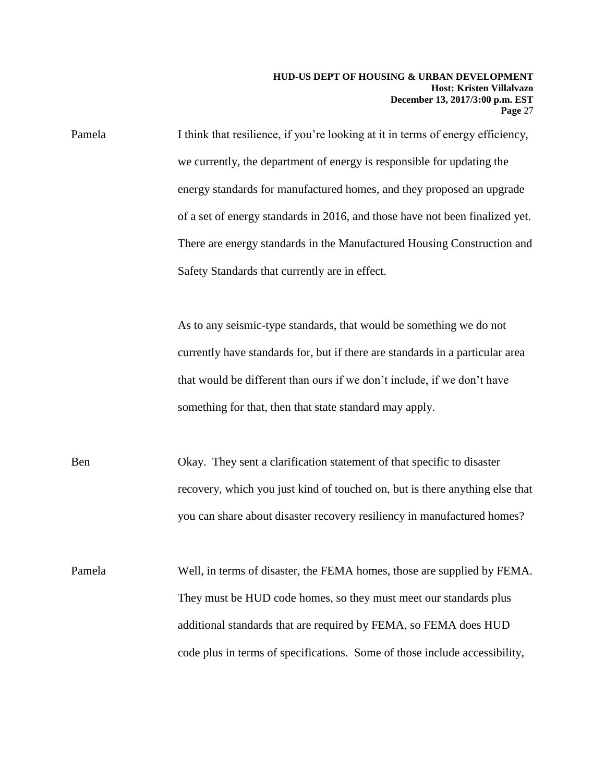Pamela I think that resilience, if you're looking at it in terms of energy efficiency, we currently, the department of energy is responsible for updating the energy standards for manufactured homes, and they proposed an upgrade of a set of energy standards in 2016, and those have not been finalized yet. There are energy standards in the Manufactured Housing Construction and Safety Standards that currently are in effect.

> As to any seismic-type standards, that would be something we do not currently have standards for, but if there are standards in a particular area that would be different than ours if we don't include, if we don't have something for that, then that state standard may apply.

Ben Okay. They sent a clarification statement of that specific to disaster recovery, which you just kind of touched on, but is there anything else that you can share about disaster recovery resiliency in manufactured homes?

Pamela Well, in terms of disaster, the FEMA homes, those are supplied by FEMA. They must be HUD code homes, so they must meet our standards plus additional standards that are required by FEMA, so FEMA does HUD code plus in terms of specifications. Some of those include accessibility,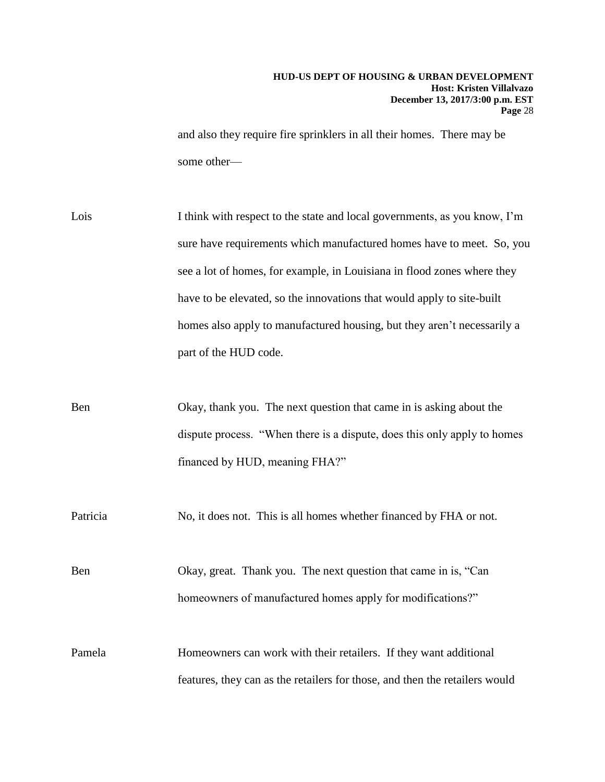and also they require fire sprinklers in all their homes. There may be some other—

Lois I think with respect to the state and local governments, as you know, I'm sure have requirements which manufactured homes have to meet. So, you see a lot of homes, for example, in Louisiana in flood zones where they have to be elevated, so the innovations that would apply to site-built homes also apply to manufactured housing, but they aren't necessarily a part of the HUD code.

Ben Okay, thank you. The next question that came in is asking about the dispute process. "When there is a dispute, does this only apply to homes financed by HUD, meaning FHA?"

Patricia No, it does not. This is all homes whether financed by FHA or not.

Ben Okay, great. Thank you. The next question that came in is, "Can homeowners of manufactured homes apply for modifications?"

Pamela Homeowners can work with their retailers. If they want additional features, they can as the retailers for those, and then the retailers would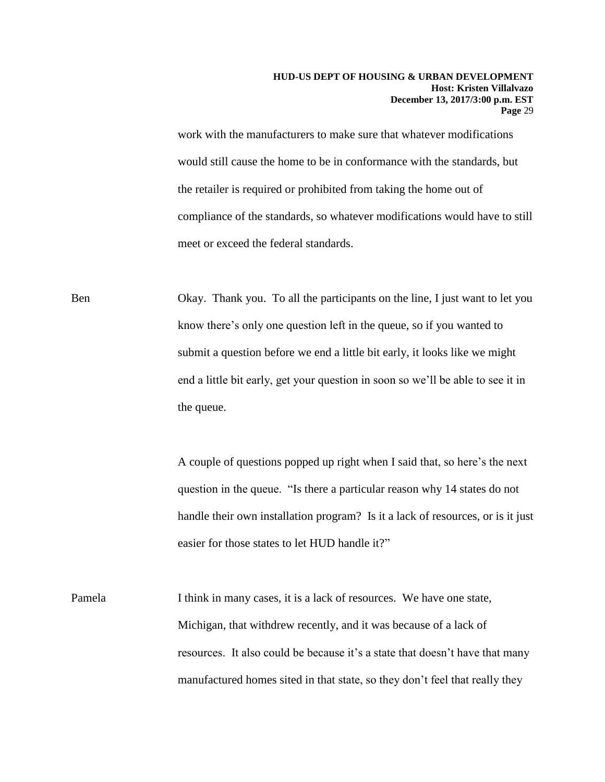work with the manufacturers to make sure that whatever modifications would still cause the home to be in conformance with the standards, but the retailer is required or prohibited from taking the home out of compliance of the standards, so whatever modifications would have to still meet or exceed the federal standards.

Ben Okay. Thank you. To all the participants on the line, I just want to let you know there's only one question left in the queue, so if you wanted to submit a question before we end a little bit early, it looks like we might end a little bit early, get your question in soon so we'll be able to see it in the queue.

> A couple of questions popped up right when I said that, so here's the next question in the queue. "Is there a particular reason why 14 states do not handle their own installation program? Is it a lack of resources, or is it just easier for those states to let HUD handle it?"

Pamela I think in many cases, it is a lack of resources. We have one state, Michigan, that withdrew recently, and it was because of a lack of resources. It also could be because it's a state that doesn't have that many manufactured homes sited in that state, so they don't feel that really they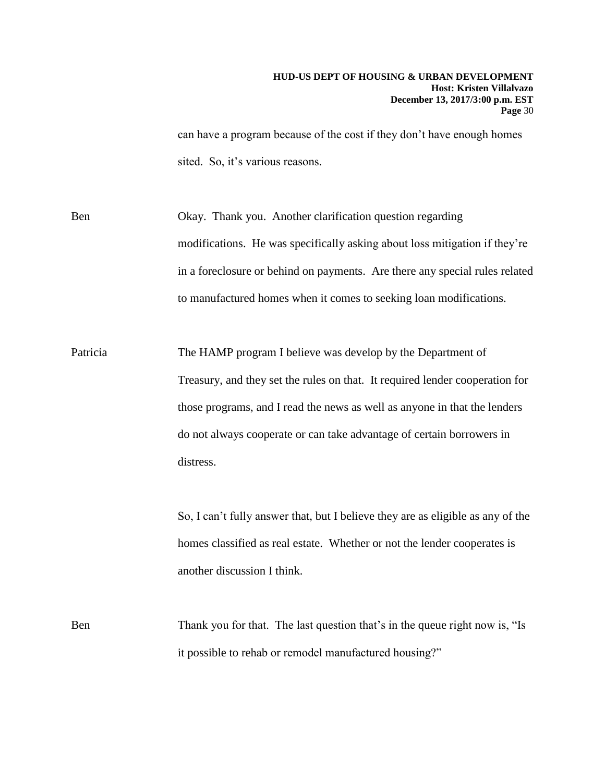can have a program because of the cost if they don't have enough homes sited. So, it's various reasons.

Ben Okay. Thank you. Another clarification question regarding modifications. He was specifically asking about loss mitigation if they're in a foreclosure or behind on payments. Are there any special rules related to manufactured homes when it comes to seeking loan modifications.

Patricia The HAMP program I believe was develop by the Department of Treasury, and they set the rules on that. It required lender cooperation for those programs, and I read the news as well as anyone in that the lenders do not always cooperate or can take advantage of certain borrowers in distress.

> So, I can't fully answer that, but I believe they are as eligible as any of the homes classified as real estate. Whether or not the lender cooperates is another discussion I think.

Ben Thank you for that. The last question that's in the queue right now is, "Is it possible to rehab or remodel manufactured housing?"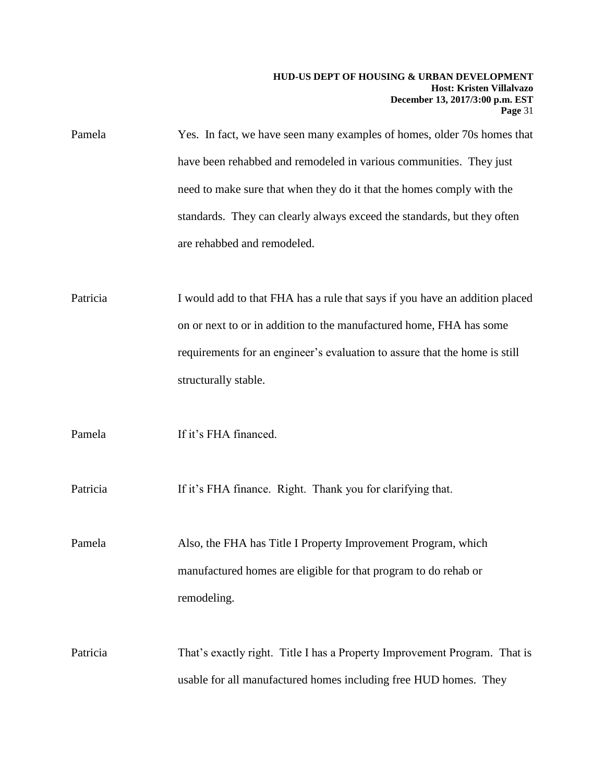Pamela Yes. In fact, we have seen many examples of homes, older 70s homes that have been rehabbed and remodeled in various communities. They just need to make sure that when they do it that the homes comply with the standards. They can clearly always exceed the standards, but they often are rehabbed and remodeled.

Patricia I would add to that FHA has a rule that says if you have an addition placed on or next to or in addition to the manufactured home, FHA has some requirements for an engineer's evaluation to assure that the home is still structurally stable.

Pamela If it's FHA financed.

Patricia If it's FHA finance. Right. Thank you for clarifying that.

Pamela Also, the FHA has Title I Property Improvement Program, which manufactured homes are eligible for that program to do rehab or remodeling.

Patricia That's exactly right. Title I has a Property Improvement Program. That is usable for all manufactured homes including free HUD homes. They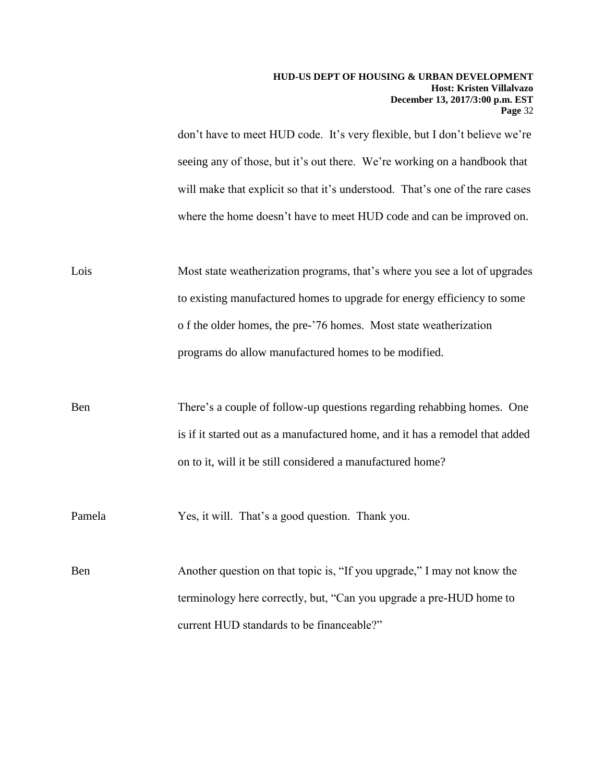don't have to meet HUD code. It's very flexible, but I don't believe we're seeing any of those, but it's out there. We're working on a handbook that will make that explicit so that it's understood. That's one of the rare cases where the home doesn't have to meet HUD code and can be improved on.

Lois Most state weatherization programs, that's where you see a lot of upgrades to existing manufactured homes to upgrade for energy efficiency to some o f the older homes, the pre-'76 homes. Most state weatherization programs do allow manufactured homes to be modified.

Ben There's a couple of follow-up questions regarding rehabbing homes. One is if it started out as a manufactured home, and it has a remodel that added on to it, will it be still considered a manufactured home?

Pamela Yes, it will. That's a good question. Thank you.

Ben Another question on that topic is, "If you upgrade," I may not know the terminology here correctly, but, "Can you upgrade a pre-HUD home to current HUD standards to be financeable?"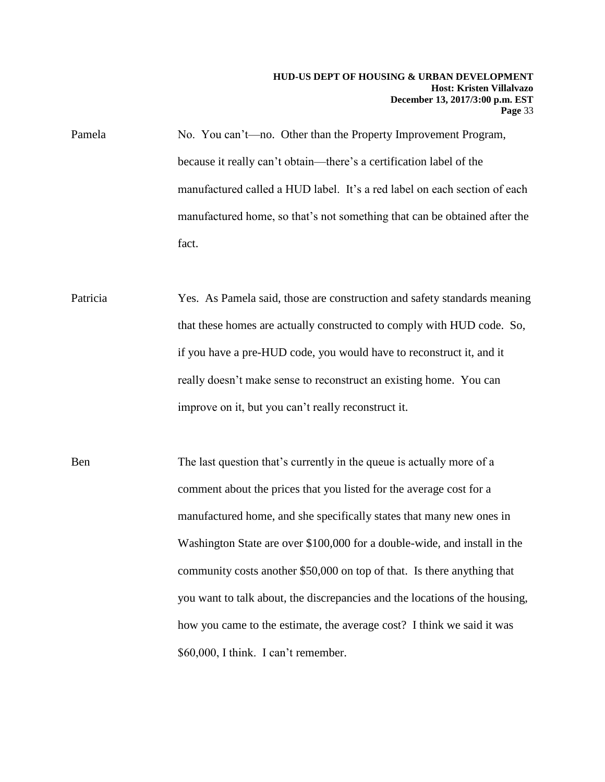Pamela No. You can't—no. Other than the Property Improvement Program, because it really can't obtain—there's a certification label of the manufactured called a HUD label. It's a red label on each section of each manufactured home, so that's not something that can be obtained after the fact.

- Patricia Yes. As Pamela said, those are construction and safety standards meaning that these homes are actually constructed to comply with HUD code. So, if you have a pre-HUD code, you would have to reconstruct it, and it really doesn't make sense to reconstruct an existing home. You can improve on it, but you can't really reconstruct it.
- Ben The last question that's currently in the queue is actually more of a comment about the prices that you listed for the average cost for a manufactured home, and she specifically states that many new ones in Washington State are over \$100,000 for a double-wide, and install in the community costs another \$50,000 on top of that. Is there anything that you want to talk about, the discrepancies and the locations of the housing, how you came to the estimate, the average cost? I think we said it was \$60,000, I think. I can't remember.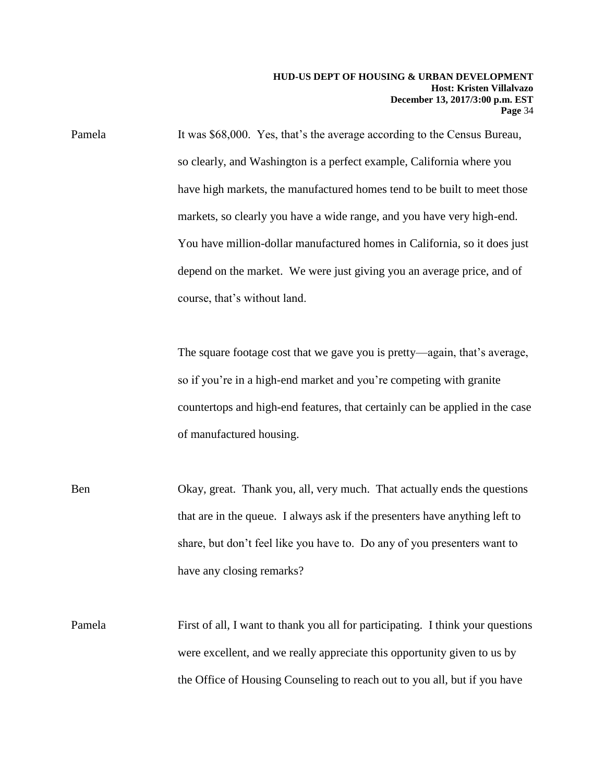Pamela It was \$68,000. Yes, that's the average according to the Census Bureau, so clearly, and Washington is a perfect example, California where you have high markets, the manufactured homes tend to be built to meet those markets, so clearly you have a wide range, and you have very high-end. You have million-dollar manufactured homes in California, so it does just depend on the market. We were just giving you an average price, and of course, that's without land.

> The square footage cost that we gave you is pretty—again, that's average, so if you're in a high-end market and you're competing with granite countertops and high-end features, that certainly can be applied in the case of manufactured housing.

Ben Okay, great. Thank you, all, very much. That actually ends the questions that are in the queue. I always ask if the presenters have anything left to share, but don't feel like you have to. Do any of you presenters want to have any closing remarks?

Pamela First of all, I want to thank you all for participating. I think your questions were excellent, and we really appreciate this opportunity given to us by the Office of Housing Counseling to reach out to you all, but if you have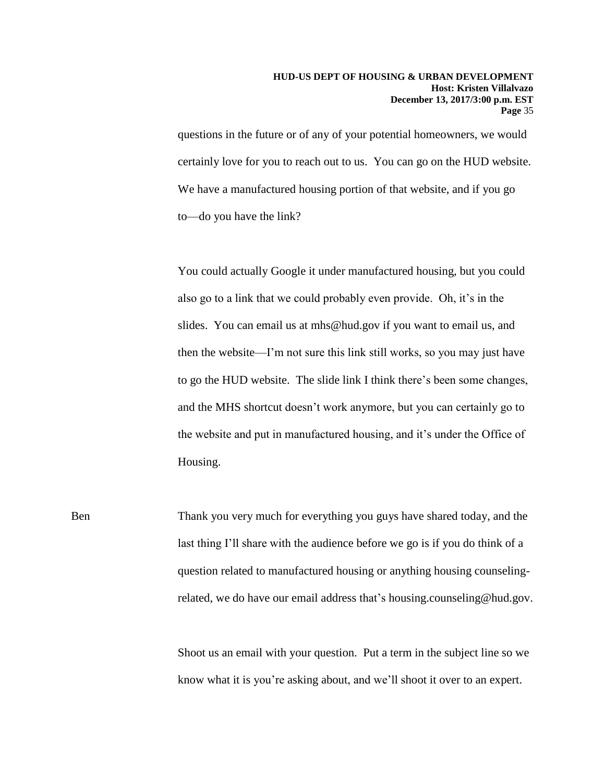questions in the future or of any of your potential homeowners, we would certainly love for you to reach out to us. You can go on the HUD website. We have a manufactured housing portion of that website, and if you go to—do you have the link?

You could actually Google it under manufactured housing, but you could also go to a link that we could probably even provide. Oh, it's in the slides. You can email us at mhs@hud.gov if you want to email us, and then the website—I'm not sure this link still works, so you may just have to go the HUD website. The slide link I think there's been some changes, and the MHS shortcut doesn't work anymore, but you can certainly go to the website and put in manufactured housing, and it's under the Office of Housing.

Ben Thank you very much for everything you guys have shared today, and the last thing I'll share with the audience before we go is if you do think of a question related to manufactured housing or anything housing counselingrelated, we do have our email address that's housing.counseling@hud.gov.

> Shoot us an email with your question. Put a term in the subject line so we know what it is you're asking about, and we'll shoot it over to an expert.